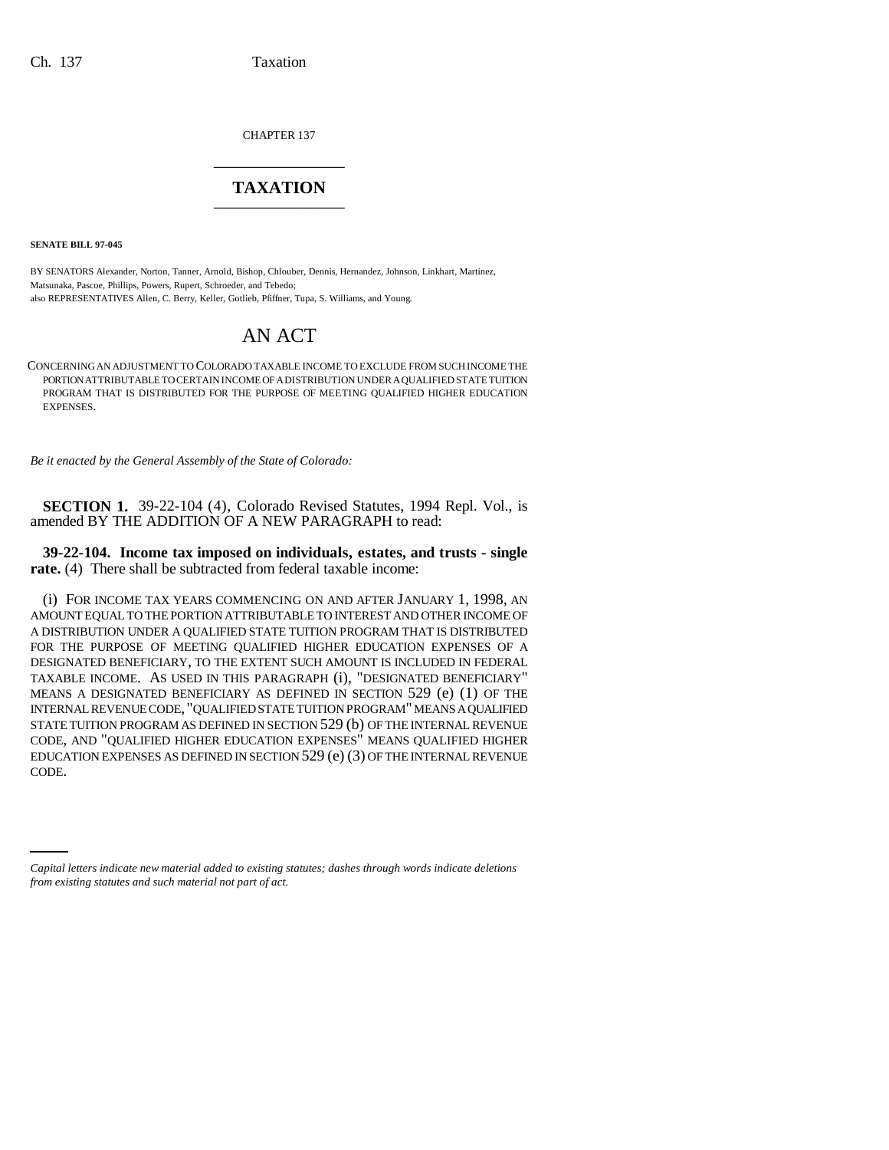CHAPTER 137 \_\_\_\_\_\_\_\_\_\_\_\_\_\_\_

## **TAXATION** \_\_\_\_\_\_\_\_\_\_\_\_\_\_\_

**SENATE BILL 97-045**

BY SENATORS Alexander, Norton, Tanner, Arnold, Bishop, Chlouber, Dennis, Hernandez, Johnson, Linkhart, Martinez, Matsunaka, Pascoe, Phillips, Powers, Rupert, Schroeder, and Tebedo; also REPRESENTATIVES Allen, C. Berry, Keller, Gotlieb, Pfiffner, Tupa, S. Williams, and Young.

## AN ACT

CONCERNING AN ADJUSTMENT TO COLORADO TAXABLE INCOME TO EXCLUDE FROM SUCH INCOME THE PORTION ATTRIBUTABLE TO CERTAIN INCOME OF A DISTRIBUTION UNDER A QUALIFIED STATE TUITION PROGRAM THAT IS DISTRIBUTED FOR THE PURPOSE OF MEETING QUALIFIED HIGHER EDUCATION EXPENSES.

*Be it enacted by the General Assembly of the State of Colorado:*

**SECTION 1.** 39-22-104 (4), Colorado Revised Statutes, 1994 Repl. Vol., is amended BY THE ADDITION OF A NEW PARAGRAPH to read:

## **39-22-104. Income tax imposed on individuals, estates, and trusts - single rate.** (4) There shall be subtracted from federal taxable income:

CODE.(i) FOR INCOME TAX YEARS COMMENCING ON AND AFTER JANUARY 1, 1998, AN AMOUNT EQUAL TO THE PORTION ATTRIBUTABLE TO INTEREST AND OTHER INCOME OF A DISTRIBUTION UNDER A QUALIFIED STATE TUITION PROGRAM THAT IS DISTRIBUTED FOR THE PURPOSE OF MEETING QUALIFIED HIGHER EDUCATION EXPENSES OF A DESIGNATED BENEFICIARY, TO THE EXTENT SUCH AMOUNT IS INCLUDED IN FEDERAL TAXABLE INCOME. AS USED IN THIS PARAGRAPH (i), "DESIGNATED BENEFICIARY" MEANS A DESIGNATED BENEFICIARY AS DEFINED IN SECTION 529 (e) (1) OF THE INTERNAL REVENUE CODE, "QUALIFIED STATE TUITION PROGRAM" MEANS A QUALIFIED STATE TUITION PROGRAM AS DEFINED IN SECTION 529 (b) OF THE INTERNAL REVENUE CODE, AND "QUALIFIED HIGHER EDUCATION EXPENSES" MEANS QUALIFIED HIGHER EDUCATION EXPENSES AS DEFINED IN SECTION 529 (e) (3) OF THE INTERNAL REVENUE

*Capital letters indicate new material added to existing statutes; dashes through words indicate deletions from existing statutes and such material not part of act.*